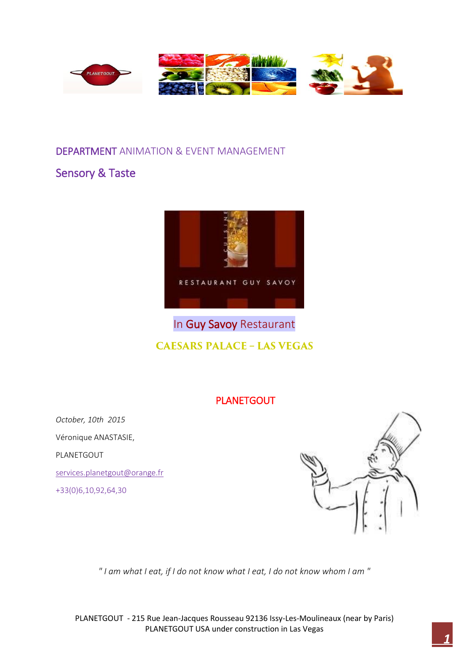

### DEPARTMENT ANIMATION & EVENT MANAGEMENT

# Sensory & Taste



# In Guy Savoy Restaurant **CAESARS PALACE - LAS VEGAS**

## PLANETGOUT

*October, 10th 2015* Véronique ANASTASIE, PLANETGOUT [services.planetgout@orange.fr](mailto:services.planetgout@orange.fr)

+33(0)6,10,92,64,30



*" I am what I eat, if I do not know what I eat, I do not know whom I am "*

PLANETGOUT - 215 Rue Jean-Jacques Rousseau 92136 Issy-Les-Moulineaux (near by Paris) PLANETGOUT USA under construction in Las Vegas